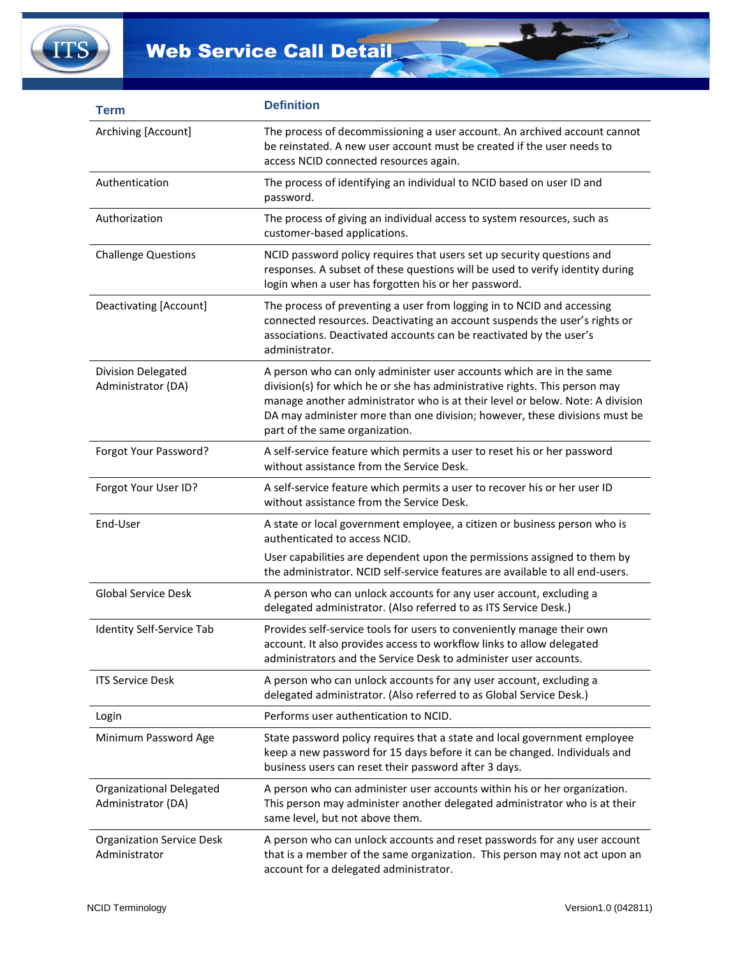

| <b>Term</b>                                       | <b>Definition</b>                                                                                                                                                                                                                                                                                                                                   |
|---------------------------------------------------|-----------------------------------------------------------------------------------------------------------------------------------------------------------------------------------------------------------------------------------------------------------------------------------------------------------------------------------------------------|
| Archiving [Account]                               | The process of decommissioning a user account. An archived account cannot<br>be reinstated. A new user account must be created if the user needs to<br>access NCID connected resources again.                                                                                                                                                       |
| Authentication                                    | The process of identifying an individual to NCID based on user ID and<br>password.                                                                                                                                                                                                                                                                  |
| Authorization                                     | The process of giving an individual access to system resources, such as<br>customer-based applications.                                                                                                                                                                                                                                             |
| <b>Challenge Questions</b>                        | NCID password policy requires that users set up security questions and<br>responses. A subset of these questions will be used to verify identity during<br>login when a user has forgotten his or her password.                                                                                                                                     |
| Deactivating [Account]                            | The process of preventing a user from logging in to NCID and accessing<br>connected resources. Deactivating an account suspends the user's rights or<br>associations. Deactivated accounts can be reactivated by the user's<br>administrator.                                                                                                       |
| Division Delegated<br>Administrator (DA)          | A person who can only administer user accounts which are in the same<br>division(s) for which he or she has administrative rights. This person may<br>manage another administrator who is at their level or below. Note: A division<br>DA may administer more than one division; however, these divisions must be<br>part of the same organization. |
| Forgot Your Password?                             | A self-service feature which permits a user to reset his or her password<br>without assistance from the Service Desk.                                                                                                                                                                                                                               |
| Forgot Your User ID?                              | A self-service feature which permits a user to recover his or her user ID<br>without assistance from the Service Desk.                                                                                                                                                                                                                              |
| End-User                                          | A state or local government employee, a citizen or business person who is<br>authenticated to access NCID.                                                                                                                                                                                                                                          |
|                                                   | User capabilities are dependent upon the permissions assigned to them by<br>the administrator. NCID self-service features are available to all end-users.                                                                                                                                                                                           |
| <b>Global Service Desk</b>                        | A person who can unlock accounts for any user account, excluding a<br>delegated administrator. (Also referred to as ITS Service Desk.)                                                                                                                                                                                                              |
| Identity Self-Service Tab                         | Provides self-service tools for users to conveniently manage their own<br>account. It also provides access to workflow links to allow delegated<br>administrators and the Service Desk to administer user accounts.                                                                                                                                 |
| <b>ITS Service Desk</b>                           | A person who can unlock accounts for any user account, excluding a<br>delegated administrator. (Also referred to as Global Service Desk.)                                                                                                                                                                                                           |
| Login                                             | Performs user authentication to NCID.                                                                                                                                                                                                                                                                                                               |
| Minimum Password Age                              | State password policy requires that a state and local government employee<br>keep a new password for 15 days before it can be changed. Individuals and<br>business users can reset their password after 3 days.                                                                                                                                     |
| Organizational Delegated<br>Administrator (DA)    | A person who can administer user accounts within his or her organization.<br>This person may administer another delegated administrator who is at their<br>same level, but not above them.                                                                                                                                                          |
| <b>Organization Service Desk</b><br>Administrator | A person who can unlock accounts and reset passwords for any user account<br>that is a member of the same organization. This person may not act upon an<br>account for a delegated administrator.                                                                                                                                                   |

 $\overline{P}$ 

A